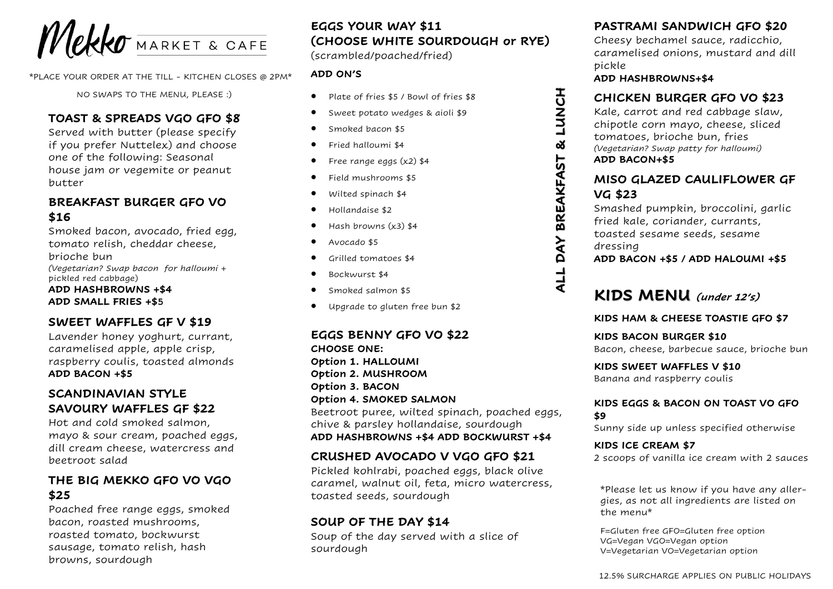

\*PLACE YOUR ORDER AT THE TILL - KITCHEN CLOSES @ 2PM\*

NO SWAPS TO THE MENU, PLEASE :)

#### **TOAST & SPREADS VGO GFO \$8**

Served with butter (please specify if you prefer Nuttelex) and choose one of the following: Seasonal house jam or vegemite or peanut butter

## **BREAKFAST BURGER GFO VO \$16**

Smoked bacon, avocado, fried egg, tomato relish, cheddar cheese, brioche bun *(Vegetarian? Swap bacon for halloumi* + pickled red cabbage) **ADD HASHBROWNS +\$4 ADD SMALL FRIES +\$5**

#### **SWEET WAFFLES GF V \$19**

Lavender honey yoghurt, currant, caramelised apple, apple crisp, raspberry coulis, toasted almonds **ADD BACON +\$5**

#### **SCANDINAVIAN STYLE SAVOURY WAFFLES GF \$22**

Hot and cold smoked salmon, mayo & sour cream, poached eggs, dill cream cheese, watercress and beetroot salad

## **THE BIG MEKKO GFO VO VGO \$25**

Poached free range eggs, smoked bacon, roasted mushrooms, roasted tomato, bockwurst sausage, tomato relish, hash browns, sourdough

# **EGGS YOUR WAY \$11 (CHOOSE WHITE SOURDOUGH or RYE)**

(scrambled/poached/fried)

#### **ADD ON'S**

- Plate of fries \$5 / Bowl of fries \$8
- Sweet potato wedges & aioli \$9
- Smoked bacon \$5
- Fried halloumi \$4
- Free range eggs (x2) \$4
- Field mushrooms \$5
- Wilted spinach \$4
- Hollandaise \$2
- Hash browns (x3) \$4
- Avocado \$5
- Grilled tomatoes \$4
- Bockwurst \$4
- Smoked salmon \$5
- Upgrade to gluten free bun \$2

**EGGS BENNY GFO VO \$22 CHOOSE ONE: Option 1. HALLOUMI Option 2. MUSHROOM Option 3. BACON Option 4. SMOKED SALMON** Beetroot puree, wilted spinach, poached eggs, chive & parsley hollandaise, sourdough **ADD HASHBROWNS +\$4 ADD BOCKWURST +\$4**

#### **CRUSHED AVOCADO V VGO GFO \$21**

Pickled kohlrabi, poached eggs, black olive caramel, walnut oil, feta, micro watercress, toasted seeds, sourdough

#### **SOUP OF THE DAY \$14**

Soup of the day served with a slice of sourdough

## **PASTRAMI SANDWICH GFO \$20**

Cheesy bechamel sauce, radicchio, caramelised onions, mustard and dill pickle

#### **ADD HASHBROWNS+\$4**

**ALL DAY BREAKFAST & LUNCH**

ALL DAY BREAKFAST & LUNCH

#### **CHICKEN BURGER GFO VO \$23**

Kale, carrot and red cabbage slaw, chipotle corn mayo, cheese, sliced tomatoes, brioche bun, fries *(Vegetarian? Swap patty for halloumi)* **ADD BACON+\$5**

#### **MISO GLAZED CAULIFLOWER GF VG \$23**

Smashed pumpkin, broccolini, garlic fried kale, coriander, currants, toasted sesame seeds, sesame dressing

**ADD BACON +\$5 / ADD HALOUMI +\$5**

# **KIDS MENU (under 12's)**

#### **KIDS HAM & CHEESE TOASTIE GFO \$7**

**KIDS BACON BURGER \$10** Bacon, cheese, barbecue sauce, brioche bun

**KIDS SWEET WAFFLES V \$10** Banana and raspberry coulis

#### **KIDS EGGS & BACON ON TOAST VO GFO \$9**

Sunny side up unless specified otherwise

#### **KIDS ICE CREAM \$7**

2 scoops of vanilla ice cream with 2 sauces

\*Please let us know if you have any allergies, as not all ingredients are listed on the menu\*

F=Gluten free GFO=Gluten free option VG=Vegan VGO=Vegan option V=Vegetarian VO=Vegetarian option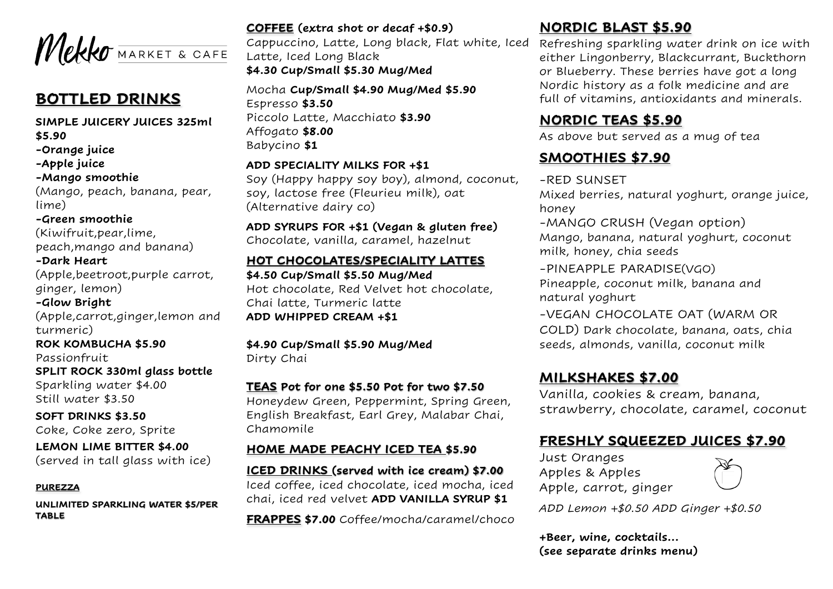

# **BOTTLED DRINKS**

**SIMPLE JUICERY JUICES 325ml \$5.90 -Orange juice -Apple juice -Mango smoothie** (Mango, peach, banana, pear, lime) **-Green smoothie** (Kiwifruit,pear,lime, peach,mango and banana) **-Dark Heart** (Apple,beetroot,purple carrot, ginger, lemon) **-Glow Bright** (Apple,carrot,ginger,lemon and turmeric) **ROK KOMBUCHA \$5.90** Passionfruit **SPLIT ROCK 330ml glass bottle** Sparkling water \$4.00 Still water \$3.50

**SOFT DRINKS \$3.50** Coke, Coke zero, Sprite

**LEMON LIME BITTER \$4.00** (served in tall glass with ice)

#### **PUREZZA**

**UNLIMITED SPARKLING WATER \$5/PER TABLE** 

#### **COFFEE (extra shot or decaf +\$0.9)**

Cappuccino, Latte, Long black, Flat white, Iced Latte, Iced Long Black **\$4.30 Cup/Small \$5.30 Mug/Med** 

Mocha **Cup/Small \$4.90 Mug/Med \$5.90** Espresso **\$3.50** Piccolo Latte, Macchiato **\$3.90** Affogato **\$8.00** Babycino **\$1**

#### **ADD SPECIALITY MILKS FOR +\$1**

Soy (Happy happy soy boy), almond, coconut, soy, lactose free (Fleurieu milk), oat (Alternative dairy co)

#### **ADD SYRUPS FOR +\$1 (Vegan & gluten free)** Chocolate, vanilla, caramel, hazelnut

#### **HOT CHOCOLATES/SPECIALITY LATTES**

**\$4.50 Cup/Small \$5.50 Mug/Med** Hot chocolate, Red Velvet hot chocolate, Chai latte, Turmeric latte **ADD WHIPPED CREAM +\$1**

#### **\$4.90 Cup/Small \$5.90 Mug/Med** Dirty Chai

#### **TEAS Pot for one \$5.50 Pot for two \$7.50**

Honeydew Green, Peppermint, Spring Green, English Breakfast, Earl Grey, Malabar Chai, Chamomile

#### **HOME MADE PEACHY ICED TEA \$5.90**

**ICED DRINKS (served with ice cream) \$7.00** Iced coffee, iced chocolate, iced mocha, iced chai, iced red velvet **ADD VANILLA SYRUP \$1**

**FRAPPES \$7.00** Coffee/mocha/caramel/choco

# **NORDIC BLAST \$5.90**

Refreshing sparkling water drink on ice with either Lingonberry, Blackcurrant, Buckthorn or Blueberry. These berries have got a long Nordic history as a folk medicine and are full of vitamins, antioxidants and minerals.

## **NORDIC TEAS \$5.90**

As above but served as a mug of tea

# **SMOOTHIES \$7.90**

#### -RED SUNSET

Mixed berries, natural yoghurt, orange juice, honey

-MANGO CRUSH (Vegan option) Mango, banana, natural yoghurt, coconut milk, honey, chia seeds

-PINEAPPLE PARADISE(VGO) Pineapple, coconut milk, banana and natural yoghurt

-VEGAN CHOCOLATE OAT (WARM OR COLD) Dark chocolate, banana, oats, chia seeds, almonds, vanilla, coconut milk

# **MILKSHAKES \$7.00**

Vanilla, cookies & cream, banana, strawberry, chocolate, caramel, coconut

# **FRESHLY SQUEEZED JUICES \$7.90**

Just Oranges Apples & Apples Apple, carrot, ginger



*ADD Lemon +\$0.50 ADD Ginger +\$0.50*

**+Beer, wine, cocktails... (see separate drinks menu)**